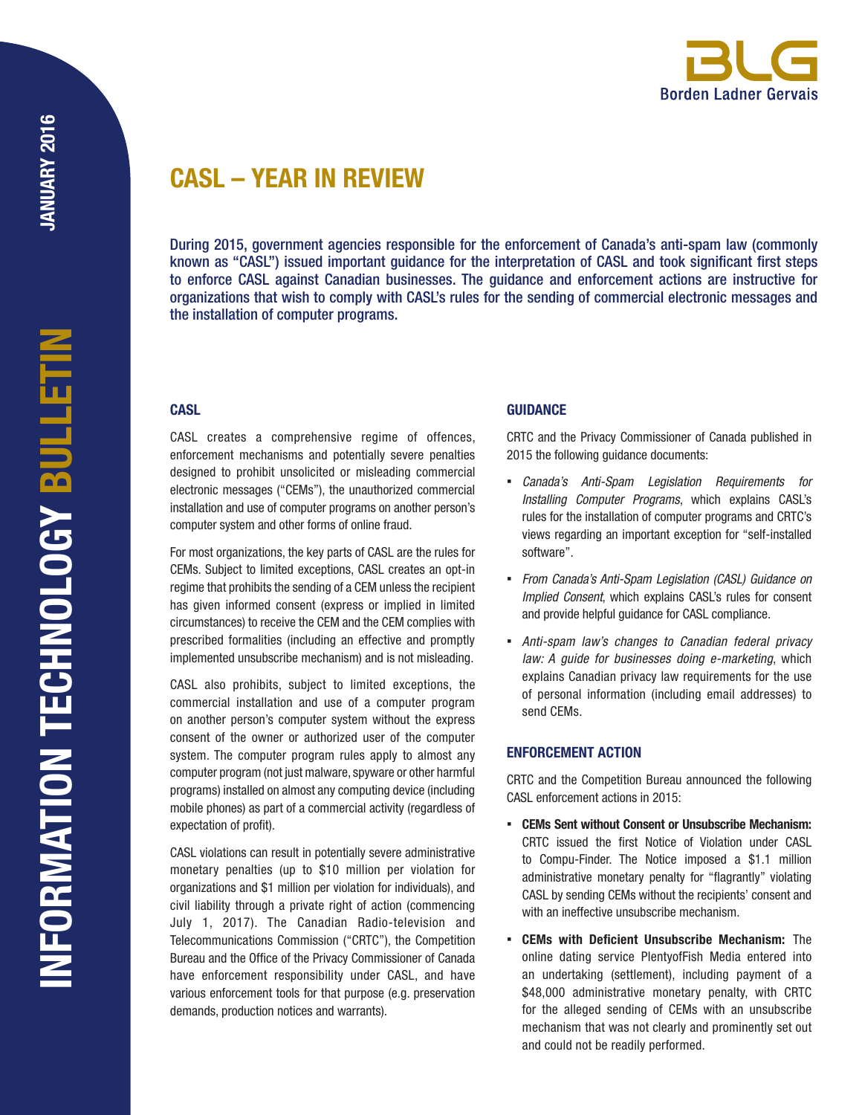# CASL – YEAR IN REVIEW

During 2015, government agencies responsible for the enforcement of Canada's anti-spam law (commonly known as "CASL") issued important guidance for the interpretation of CASL and took significant first steps to enforce CASL against Canadian businesses. The guidance and enforcement actions are instructive for organizations that wish to comply with CASL's rules for the sending of commercial electronic messages and the installation of computer programs.

# **CASL**

CASL creates a comprehensive regime of offences, enforcement mechanisms and potentially severe penalties designed to prohibit unsolicited or misleading commercial electronic messages ("CEMs"), the unauthorized commercial installation and use of computer programs on another person's computer system and other forms of online fraud.

For most organizations, the key parts of CASL are the rules for CEMs. Subject to limited exceptions, CASL creates an opt-in regime that prohibits the sending of a CEM unless the recipient has given informed consent (express or implied in limited circumstances) to receive the CEM and the CEM complies with prescribed formalities (including an effective and promptly implemented unsubscribe mechanism) and is not misleading.

CASL also prohibits, subject to limited exceptions, the commercial installation and use of a computer program on another person's computer system without the express consent of the owner or authorized user of the computer system. The computer program rules apply to almost any computer program (not just malware, spyware or other harmful programs) installed on almost any computing device (including mobile phones) as part of a commercial activity (regardless of expectation of profit).

CASL violations can result in potentially severe administrative monetary penalties (up to \$10 million per violation for organizations and \$1 million per violation for individuals), and civil liability through a private right of action (commencing July 1, 2017). The Canadian Radio-television and Telecommunications Commission ("CRTC"), the Competition Bureau and the Office of the Privacy Commissioner of Canada have enforcement responsibility under CASL, and have various enforcement tools for that purpose (e.g. preservation demands, production notices and warrants).

# **GUIDANCE**

CRTC and the Privacy Commissioner of Canada published in 2015 the following guidance documents:

- *Canada's Anti-Spam Legislation Requirements for Installing Computer Programs*, which explains CASL's rules for the installation of computer programs and CRTC's views regarding an important exception for "self-installed software".
- *From Canada's Anti-Spam Legislation (CASL) Guidance on Implied Consent*, which explains CASL's rules for consent and provide helpful guidance for CASL compliance.
- *Anti-spam law's changes to Canadian federal privacy law: A guide for businesses doing e-marketing*, which explains Canadian privacy law requirements for the use of personal information (including email addresses) to send CEMs.

# ENFORCEMENT ACTION

CRTC and the Competition Bureau announced the following CASL enforcement actions in 2015:

- CEMs Sent without Consent or Unsubscribe Mechanism: CRTC issued the first Notice of Violation under CASL to Compu-Finder. The Notice imposed a \$1.1 million administrative monetary penalty for "flagrantly" violating CASL by sending CEMs without the recipients' consent and with an ineffective unsubscribe mechanism.
- CEMs with Deficient Unsubscribe Mechanism: The online dating service PlentyofFish Media entered into an undertaking (settlement), including payment of a \$48,000 administrative monetary penalty, with CRTC for the alleged sending of CEMs with an unsubscribe mechanism that was not clearly and prominently set out and could not be readily performed.